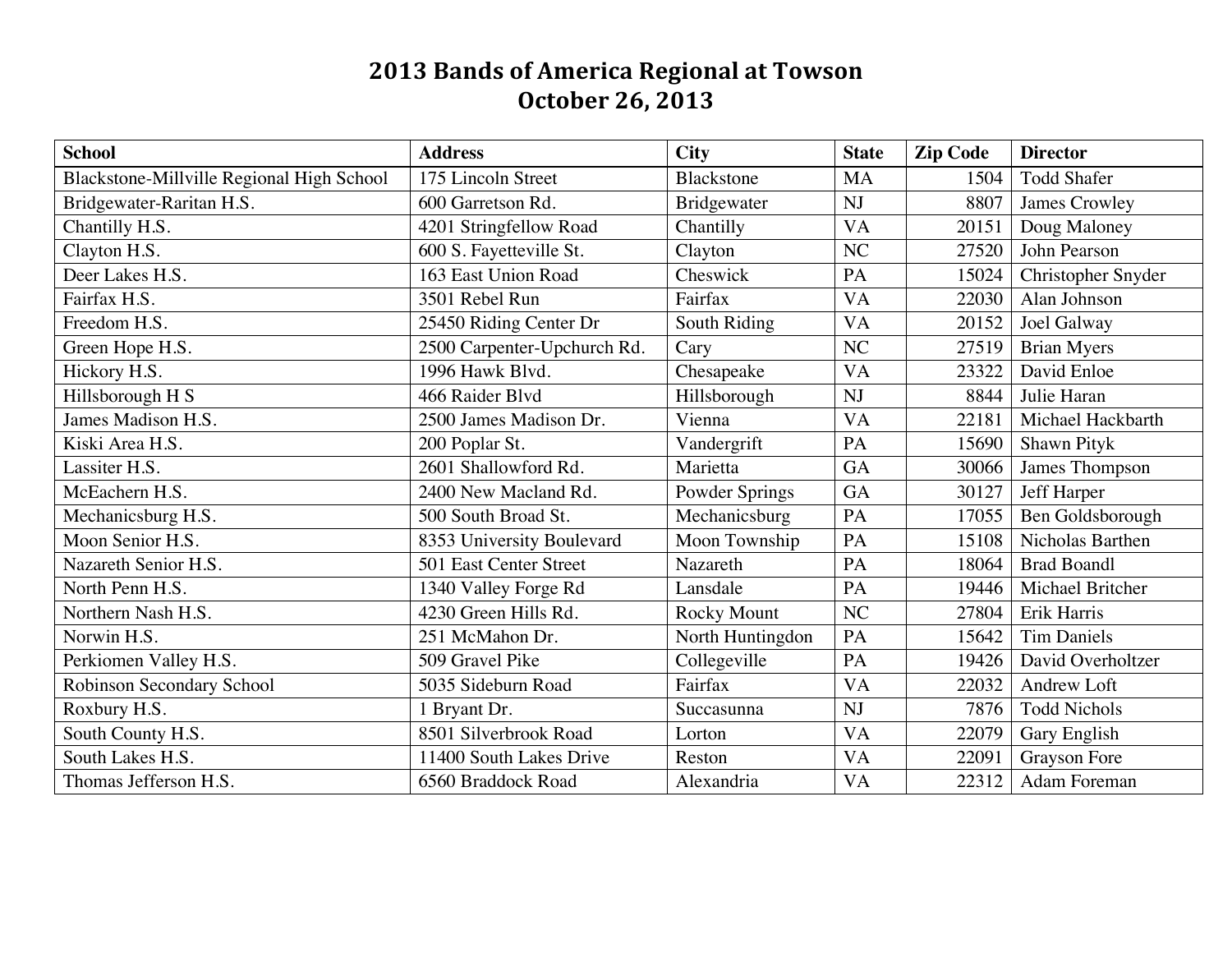## **2013 Bands of America Regional at Towson October 26, 2013**

| <b>School</b>                             | <b>Address</b>              | <b>City</b>        | <b>State</b> | <b>Zip Code</b> | <b>Director</b>     |
|-------------------------------------------|-----------------------------|--------------------|--------------|-----------------|---------------------|
| Blackstone-Millville Regional High School | 175 Lincoln Street          | <b>Blackstone</b>  | <b>MA</b>    | 1504            | <b>Todd Shafer</b>  |
| Bridgewater-Raritan H.S.                  | 600 Garretson Rd.           | Bridgewater        | <b>NJ</b>    | 8807            | James Crowley       |
| Chantilly H.S.                            | 4201 Stringfellow Road      | Chantilly          | VA           | 20151           | Doug Maloney        |
| Clayton H.S.                              | 600 S. Fayetteville St.     | Clayton            | NC           | 27520           | John Pearson        |
| Deer Lakes H.S.                           | 163 East Union Road         | Cheswick           | PA           | 15024           | Christopher Snyder  |
| Fairfax H.S.                              | 3501 Rebel Run              | Fairfax            | <b>VA</b>    | 22030           | Alan Johnson        |
| Freedom H.S.                              | 25450 Riding Center Dr      | South Riding       | VA           | 20152           | Joel Galway         |
| Green Hope H.S.                           | 2500 Carpenter-Upchurch Rd. | Cary               | NC           | 27519           | <b>Brian Myers</b>  |
| Hickory H.S.                              | 1996 Hawk Blvd.             | Chesapeake         | <b>VA</b>    | 23322           | David Enloe         |
| Hillsborough H S                          | 466 Raider Blvd             | Hillsborough       | <b>NJ</b>    | 8844            | Julie Haran         |
| James Madison H.S.                        | 2500 James Madison Dr.      | Vienna             | <b>VA</b>    | 22181           | Michael Hackbarth   |
| Kiski Area H.S.                           | 200 Poplar St.              | Vandergrift        | PA           | 15690           | Shawn Pityk         |
| Lassiter H.S.                             | 2601 Shallowford Rd.        | Marietta           | GA           | 30066           | James Thompson      |
| McEachern H.S.                            | 2400 New Macland Rd.        | Powder Springs     | GA           | 30127           | Jeff Harper         |
| Mechanicsburg H.S.                        | 500 South Broad St.         | Mechanicsburg      | PA           | 17055           | Ben Goldsborough    |
| Moon Senior H.S.                          | 8353 University Boulevard   | Moon Township      | PA           | 15108           | Nicholas Barthen    |
| Nazareth Senior H.S.                      | 501 East Center Street      | Nazareth           | PA           | 18064           | <b>Brad Boandl</b>  |
| North Penn H.S.                           | 1340 Valley Forge Rd        | Lansdale           | PA           | 19446           | Michael Britcher    |
| Northern Nash H.S.                        | 4230 Green Hills Rd.        | <b>Rocky Mount</b> | NC           | 27804           | Erik Harris         |
| Norwin H.S.                               | 251 McMahon Dr.             | North Huntingdon   | PA           | 15642           | <b>Tim Daniels</b>  |
| Perkiomen Valley H.S.                     | 509 Gravel Pike             | Collegeville       | PA           | 19426           | David Overholtzer   |
| Robinson Secondary School                 | 5035 Sideburn Road          | Fairfax            | VA           | 22032           | Andrew Loft         |
| Roxbury H.S.                              | 1 Bryant Dr.                | Succasunna         | NJ           | 7876            | <b>Todd Nichols</b> |
| South County H.S.                         | 8501 Silverbrook Road       | Lorton             | <b>VA</b>    | 22079           | Gary English        |
| South Lakes H.S.                          | 11400 South Lakes Drive     | Reston             | VA           | 22091           | <b>Grayson Fore</b> |
| Thomas Jefferson H.S.                     | 6560 Braddock Road          | Alexandria         | <b>VA</b>    | 22312           | Adam Foreman        |